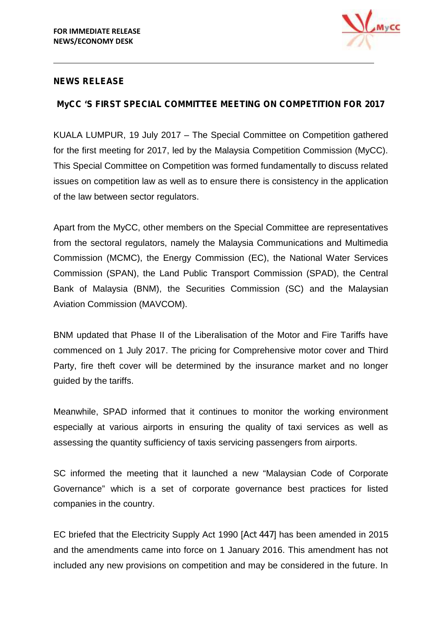

## **NEWS RELEASE**

## **MyCC 'S FIRST SPECIAL COMMITTEE MEETING ON COMPETITION FOR 2017**

KUALA LUMPUR, 19 July 2017 – The Special Committee on Competition gathered for the first meeting for 2017, led by the Malaysia Competition Commission (MyCC). This Special Committee on Competition was formed fundamentally to discuss related issues on competition law as well as to ensure there is consistency in the application of the law between sector regulators.

Apart from the MyCC, other members on the Special Committee are representatives from the sectoral regulators, namely the Malaysia Communications and Multimedia Commission (MCMC), the Energy Commission (EC), the National Water Services Commission (SPAN), the Land Public Transport Commission (SPAD), the Central Bank of Malaysia (BNM), the Securities Commission (SC) and the Malaysian Aviation Commission (MAVCOM).

BNM updated that Phase II of the Liberalisation of the Motor and Fire Tariffs have commenced on 1 July 2017. The pricing for Comprehensive motor cover and Third Party, fire theft cover will be determined by the insurance market and no longer guided by the tariffs.

Meanwhile, SPAD informed that it continues to monitor the working environment especially at various airports in ensuring the quality of taxi services as well as assessing the quantity sufficiency of taxis servicing passengers from airports.

SC informed the meeting that it launched a new "Malaysian Code of Corporate Governance" which is a set of corporate governance best practices for listed companies in the country.

EC briefed that the Electricity Supply Act 1990 [*Act 447*] has been amended in 2015 and the amendments came into force on 1 January 2016. This amendment has not included any new provisions on competition and may be considered in the future. In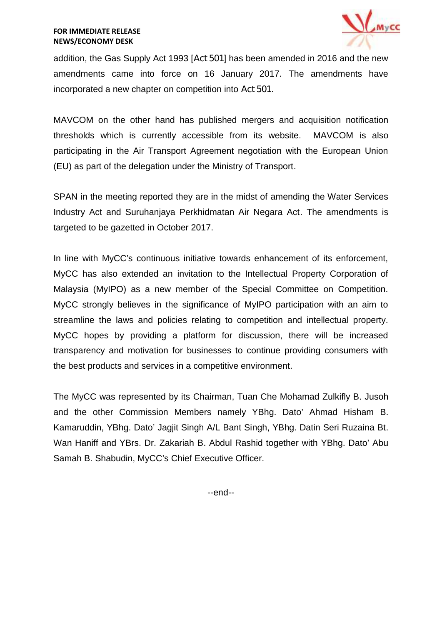

addition, the Gas Supply Act 1993 [*Act 501*] has been amended in 2016 and the new amendments came into force on 16 January 2017. The amendments have incorporated a new chapter on competition into *Act 501*.

MAVCOM on the other hand has published mergers and acquisition notification thresholds which is currently accessible from its website. MAVCOM is also participating in the Air Transport Agreement negotiation with the European Union (EU) as part of the delegation under the Ministry of Transport.

SPAN in the meeting reported they are in the midst of amending the Water Services Industry Act and Suruhanjaya Perkhidmatan Air Negara Act. The amendments is targeted to be gazetted in October 2017.

In line with MyCC's continuous initiative towards enhancement of its enforcement, MyCC has also extended an invitation to the Intellectual Property Corporation of Malaysia (MyIPO) as a new member of the Special Committee on Competition. MyCC strongly believes in the significance of MyIPO participation with an aim to streamline the laws and policies relating to competition and intellectual property. MyCC hopes by providing a platform for discussion, there will be increased transparency and motivation for businesses to continue providing consumers with the best products and services in a competitive environment.

The MyCC was represented by its Chairman, Tuan Che Mohamad Zulkifly B. Jusoh and the other Commission Members namely YBhg. Dato' Ahmad Hisham B. Kamaruddin, YBhg. Dato' Jagjit Singh A/L Bant Singh, YBhg. Datin Seri Ruzaina Bt. Wan Haniff and YBrs. Dr. Zakariah B. Abdul Rashid together with YBhg. Dato' Abu Samah B. Shabudin, MyCC's Chief Executive Officer.

--end--